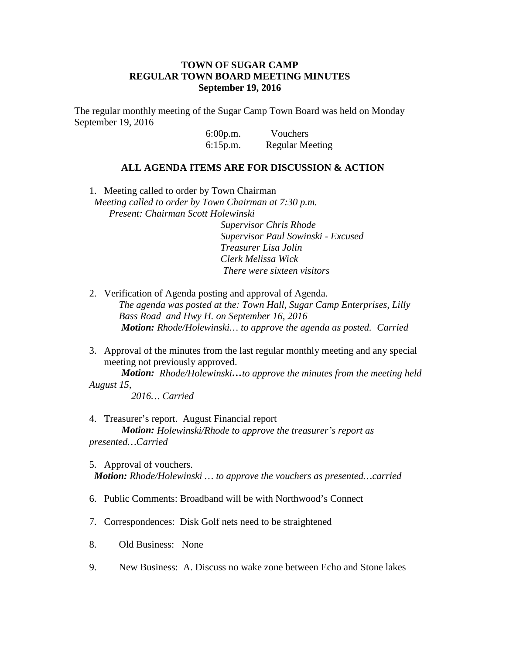## **TOWN OF SUGAR CAMP REGULAR TOWN BOARD MEETING MINUTES September 19, 2016**

The regular monthly meeting of the Sugar Camp Town Board was held on Monday September 19, 2016

> 6:00p.m. Vouchers 6:15p.m. Regular Meeting

## **ALL AGENDA ITEMS ARE FOR DISCUSSION & ACTION**

1. Meeting called to order by Town Chairman *Meeting called to order by Town Chairman at 7:30 p.m. Present: Chairman Scott Holewinski Supervisor Chris Rhode Supervisor Paul Sowinski - Excused Treasurer Lisa Jolin Clerk Melissa Wick There were sixteen visitors*

- 2. Verification of Agenda posting and approval of Agenda. *The agenda was posted at the: Town Hall, Sugar Camp Enterprises, Lilly Bass Road and Hwy H. on September 16, 2016 Motion: Rhode/Holewinski… to approve the agenda as posted. Carried*
- 3. Approval of the minutes from the last regular monthly meeting and any special meeting not previously approved.

*Motion: Rhode/Holewinski…to approve the minutes from the meeting held August 15,*

*2016… Carried*

- 4. Treasurer's report. August Financial report *Motion: Holewinski/Rhode to approve the treasurer's report as presented…Carried*
- 5. Approval of vouchers. *Motion: Rhode/Holewinski … to approve the vouchers as presented…carried*
- 6. Public Comments: Broadband will be with Northwood's Connect
- 7. Correspondences: Disk Golf nets need to be straightened
- 8. Old Business: None
- 9. New Business: A. Discuss no wake zone between Echo and Stone lakes